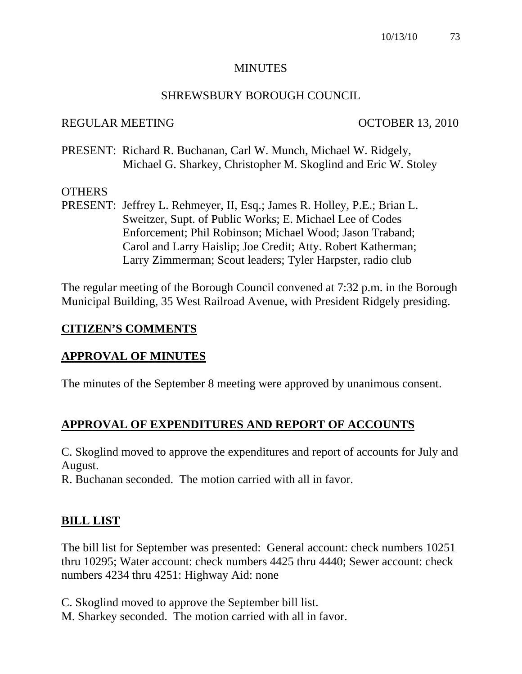#### **MINUTES**

#### SHREWSBURY BOROUGH COUNCIL

#### REGULAR MEETING OCTOBER 13, 2010

PRESENT: Richard R. Buchanan, Carl W. Munch, Michael W. Ridgely, Michael G. Sharkey, Christopher M. Skoglind and Eric W. Stoley

## **OTHERS**

PRESENT: Jeffrey L. Rehmeyer, II, Esq.; James R. Holley, P.E.; Brian L. Sweitzer, Supt. of Public Works; E. Michael Lee of Codes Enforcement; Phil Robinson; Michael Wood; Jason Traband; Carol and Larry Haislip; Joe Credit; Atty. Robert Katherman; Larry Zimmerman; Scout leaders; Tyler Harpster, radio club

The regular meeting of the Borough Council convened at 7:32 p.m. in the Borough Municipal Building, 35 West Railroad Avenue, with President Ridgely presiding.

## **CITIZEN'S COMMENTS**

## **APPROVAL OF MINUTES**

The minutes of the September 8 meeting were approved by unanimous consent.

## **APPROVAL OF EXPENDITURES AND REPORT OF ACCOUNTS**

C. Skoglind moved to approve the expenditures and report of accounts for July and August.

R. Buchanan seconded. The motion carried with all in favor.

## **BILL LIST**

The bill list for September was presented: General account: check numbers 10251 thru 10295; Water account: check numbers 4425 thru 4440; Sewer account: check numbers 4234 thru 4251: Highway Aid: none

C. Skoglind moved to approve the September bill list. M. Sharkey seconded. The motion carried with all in favor.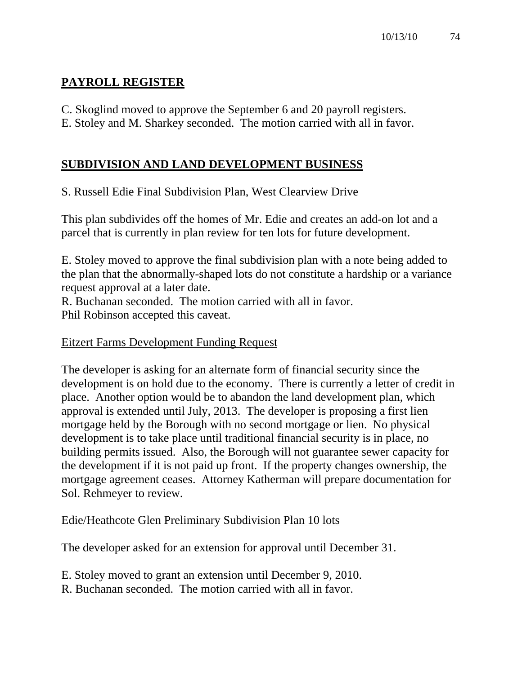# **PAYROLL REGISTER**

- C. Skoglind moved to approve the September 6 and 20 payroll registers.
- E. Stoley and M. Sharkey seconded. The motion carried with all in favor.

# **SUBDIVISION AND LAND DEVELOPMENT BUSINESS**

# S. Russell Edie Final Subdivision Plan, West Clearview Drive

This plan subdivides off the homes of Mr. Edie and creates an add-on lot and a parcel that is currently in plan review for ten lots for future development.

E. Stoley moved to approve the final subdivision plan with a note being added to the plan that the abnormally-shaped lots do not constitute a hardship or a variance request approval at a later date.

R. Buchanan seconded. The motion carried with all in favor. Phil Robinson accepted this caveat.

## Eitzert Farms Development Funding Request

The developer is asking for an alternate form of financial security since the development is on hold due to the economy. There is currently a letter of credit in place. Another option would be to abandon the land development plan, which approval is extended until July, 2013. The developer is proposing a first lien mortgage held by the Borough with no second mortgage or lien. No physical development is to take place until traditional financial security is in place, no building permits issued. Also, the Borough will not guarantee sewer capacity for the development if it is not paid up front. If the property changes ownership, the mortgage agreement ceases. Attorney Katherman will prepare documentation for Sol. Rehmeyer to review.

## Edie/Heathcote Glen Preliminary Subdivision Plan 10 lots

The developer asked for an extension for approval until December 31.

- E. Stoley moved to grant an extension until December 9, 2010.
- R. Buchanan seconded. The motion carried with all in favor.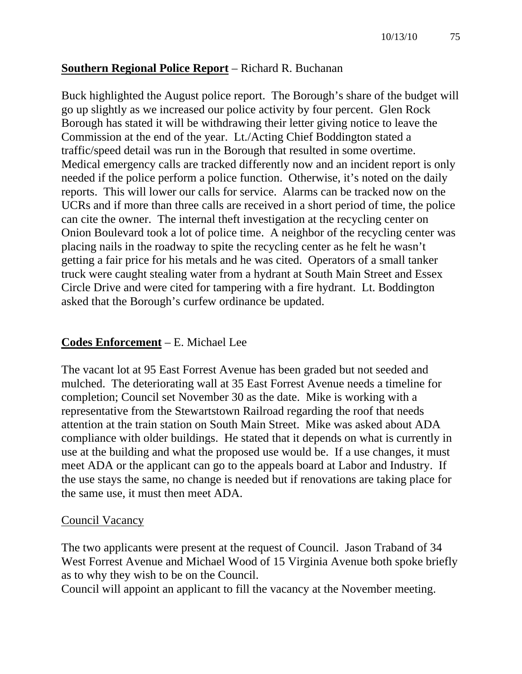#### **Southern Regional Police Report** – Richard R. Buchanan

Buck highlighted the August police report. The Borough's share of the budget will go up slightly as we increased our police activity by four percent. Glen Rock Borough has stated it will be withdrawing their letter giving notice to leave the Commission at the end of the year. Lt./Acting Chief Boddington stated a traffic/speed detail was run in the Borough that resulted in some overtime. Medical emergency calls are tracked differently now and an incident report is only needed if the police perform a police function. Otherwise, it's noted on the daily reports. This will lower our calls for service. Alarms can be tracked now on the UCRs and if more than three calls are received in a short period of time, the police can cite the owner. The internal theft investigation at the recycling center on Onion Boulevard took a lot of police time. A neighbor of the recycling center was placing nails in the roadway to spite the recycling center as he felt he wasn't getting a fair price for his metals and he was cited. Operators of a small tanker truck were caught stealing water from a hydrant at South Main Street and Essex Circle Drive and were cited for tampering with a fire hydrant. Lt. Boddington asked that the Borough's curfew ordinance be updated.

#### **Codes Enforcement** – E. Michael Lee

The vacant lot at 95 East Forrest Avenue has been graded but not seeded and mulched. The deteriorating wall at 35 East Forrest Avenue needs a timeline for completion; Council set November 30 as the date. Mike is working with a representative from the Stewartstown Railroad regarding the roof that needs attention at the train station on South Main Street. Mike was asked about ADA compliance with older buildings. He stated that it depends on what is currently in use at the building and what the proposed use would be. If a use changes, it must meet ADA or the applicant can go to the appeals board at Labor and Industry. If the use stays the same, no change is needed but if renovations are taking place for the same use, it must then meet ADA.

#### Council Vacancy

The two applicants were present at the request of Council. Jason Traband of 34 West Forrest Avenue and Michael Wood of 15 Virginia Avenue both spoke briefly as to why they wish to be on the Council.

Council will appoint an applicant to fill the vacancy at the November meeting.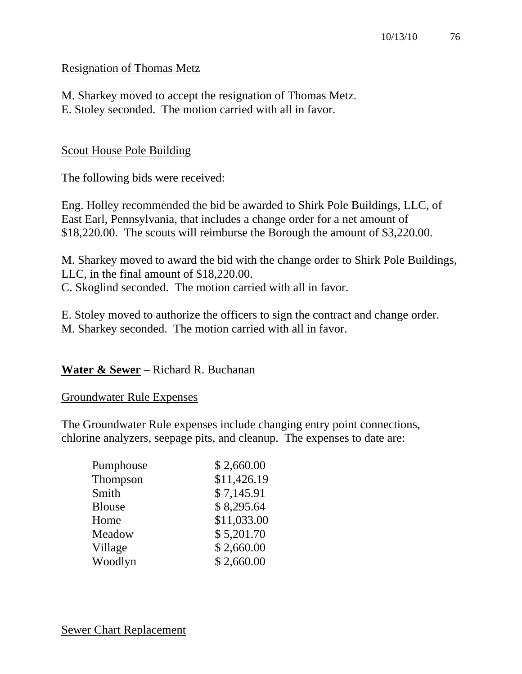## Resignation of Thomas Metz

M. Sharkey moved to accept the resignation of Thomas Metz. E. Stoley seconded. The motion carried with all in favor.

#### Scout House Pole Building

The following bids were received:

Eng. Holley recommended the bid be awarded to Shirk Pole Buildings, LLC, of East Earl, Pennsylvania, that includes a change order for a net amount of \$18,220.00. The scouts will reimburse the Borough the amount of \$3,220.00.

M. Sharkey moved to award the bid with the change order to Shirk Pole Buildings, LLC, in the final amount of \$18,220.00.

C. Skoglind seconded. The motion carried with all in favor.

E. Stoley moved to authorize the officers to sign the contract and change order. M. Sharkey seconded. The motion carried with all in favor.

## **Water & Sewer** – Richard R. Buchanan

#### Groundwater Rule Expenses

The Groundwater Rule expenses include changing entry point connections, chlorine analyzers, seepage pits, and cleanup. The expenses to date are:

| Pumphouse     | \$2,660.00  |
|---------------|-------------|
| Thompson      | \$11,426.19 |
| Smith         | \$7,145.91  |
| <b>Blouse</b> | \$8,295.64  |
| Home          | \$11,033.00 |
| Meadow        | \$5,201.70  |
| Village       | \$2,660.00  |
| Woodlyn       | \$2,660.00  |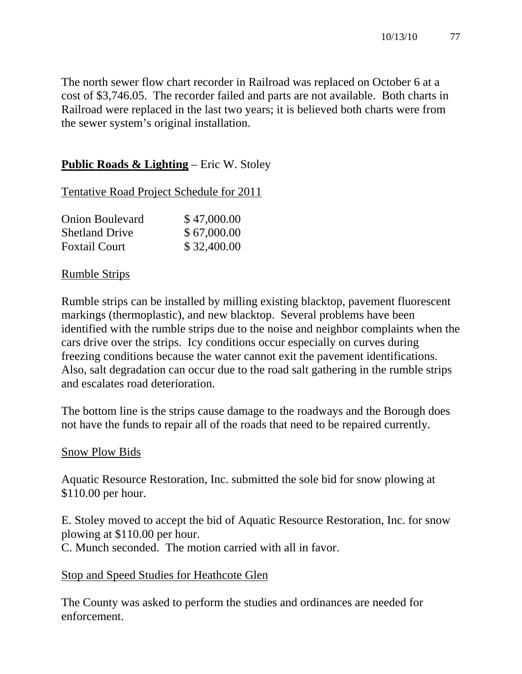The north sewer flow chart recorder in Railroad was replaced on October 6 at a cost of \$3,746.05. The recorder failed and parts are not available. Both charts in Railroad were replaced in the last two years; it is believed both charts were from the sewer system's original installation.

# **Public Roads & Lighting** – Eric W. Stoley

Tentative Road Project Schedule for 2011

| <b>Onion Boulevard</b> | \$47,000.00 |
|------------------------|-------------|
| <b>Shetland Drive</b>  | \$67,000.00 |
| <b>Foxtail Court</b>   | \$32,400.00 |

## Rumble Strips

Rumble strips can be installed by milling existing blacktop, pavement fluorescent markings (thermoplastic), and new blacktop. Several problems have been identified with the rumble strips due to the noise and neighbor complaints when the cars drive over the strips. Icy conditions occur especially on curves during freezing conditions because the water cannot exit the pavement identifications. Also, salt degradation can occur due to the road salt gathering in the rumble strips and escalates road deterioration.

The bottom line is the strips cause damage to the roadways and the Borough does not have the funds to repair all of the roads that need to be repaired currently.

## Snow Plow Bids

Aquatic Resource Restoration, Inc. submitted the sole bid for snow plowing at \$110.00 per hour.

E. Stoley moved to accept the bid of Aquatic Resource Restoration, Inc. for snow plowing at \$110.00 per hour.

C. Munch seconded. The motion carried with all in favor.

## Stop and Speed Studies for Heathcote Glen

The County was asked to perform the studies and ordinances are needed for enforcement.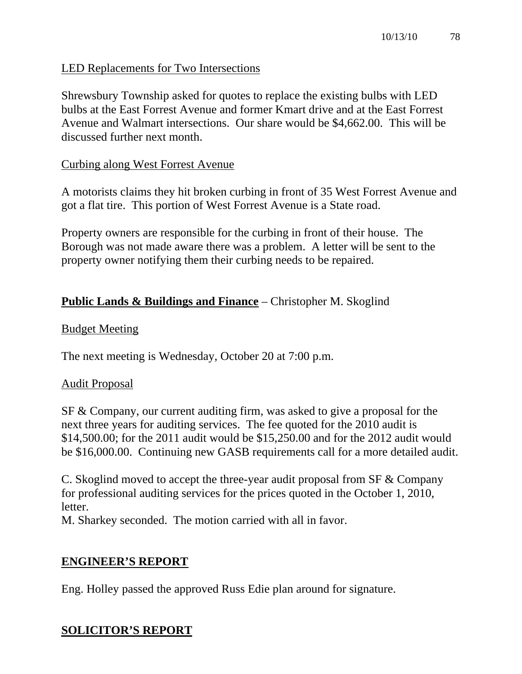## LED Replacements for Two Intersections

Shrewsbury Township asked for quotes to replace the existing bulbs with LED bulbs at the East Forrest Avenue and former Kmart drive and at the East Forrest Avenue and Walmart intersections. Our share would be \$4,662.00. This will be discussed further next month.

## Curbing along West Forrest Avenue

A motorists claims they hit broken curbing in front of 35 West Forrest Avenue and got a flat tire. This portion of West Forrest Avenue is a State road.

Property owners are responsible for the curbing in front of their house. The Borough was not made aware there was a problem. A letter will be sent to the property owner notifying them their curbing needs to be repaired.

# **Public Lands & Buildings and Finance** – Christopher M. Skoglind

## Budget Meeting

The next meeting is Wednesday, October 20 at 7:00 p.m.

## Audit Proposal

SF & Company, our current auditing firm, was asked to give a proposal for the next three years for auditing services. The fee quoted for the 2010 audit is \$14,500.00; for the 2011 audit would be \$15,250.00 and for the 2012 audit would be \$16,000.00. Continuing new GASB requirements call for a more detailed audit.

C. Skoglind moved to accept the three-year audit proposal from SF & Company for professional auditing services for the prices quoted in the October 1, 2010, letter.

M. Sharkey seconded. The motion carried with all in favor.

## **ENGINEER'S REPORT**

Eng. Holley passed the approved Russ Edie plan around for signature.

# **SOLICITOR'S REPORT**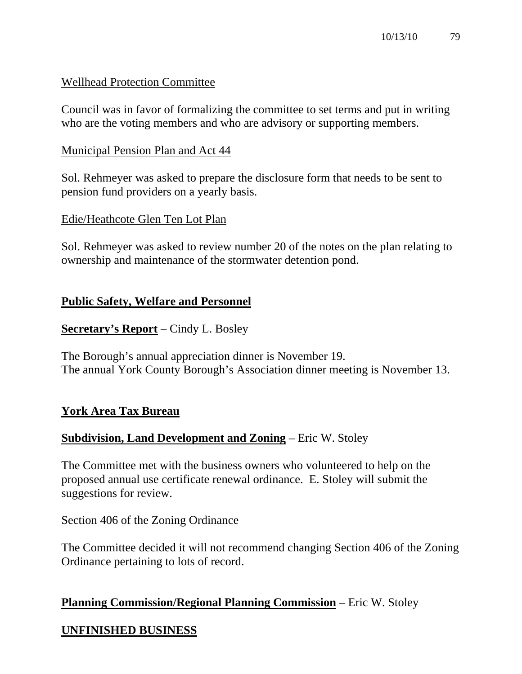## Wellhead Protection Committee

Council was in favor of formalizing the committee to set terms and put in writing who are the voting members and who are advisory or supporting members.

## Municipal Pension Plan and Act 44

Sol. Rehmeyer was asked to prepare the disclosure form that needs to be sent to pension fund providers on a yearly basis.

## Edie/Heathcote Glen Ten Lot Plan

Sol. Rehmeyer was asked to review number 20 of the notes on the plan relating to ownership and maintenance of the stormwater detention pond.

## **Public Safety, Welfare and Personnel**

**Secretary's Report** – Cindy L. Bosley

The Borough's annual appreciation dinner is November 19. The annual York County Borough's Association dinner meeting is November 13.

# **York Area Tax Bureau**

## **Subdivision, Land Development and Zoning** – Eric W. Stoley

The Committee met with the business owners who volunteered to help on the proposed annual use certificate renewal ordinance. E. Stoley will submit the suggestions for review.

## Section 406 of the Zoning Ordinance

The Committee decided it will not recommend changing Section 406 of the Zoning Ordinance pertaining to lots of record.

## **Planning Commission/Regional Planning Commission** – Eric W. Stoley

# **UNFINISHED BUSINESS**